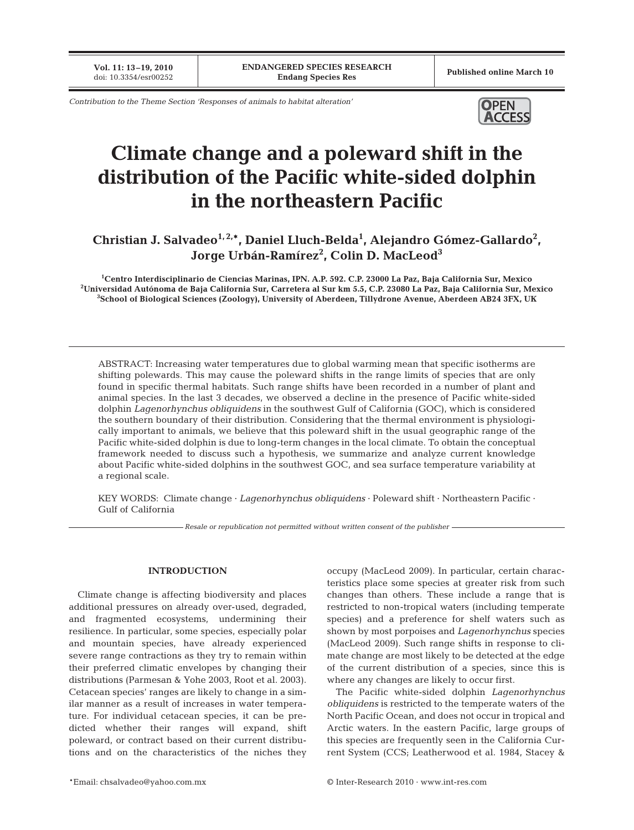**Vol. 11: 13–19, 2010**

Published online March 10

*Contribution to the Theme Section 'Responses of animals to habitat alteration'* **OPEN** 



# **Climate change and a poleward shift in the distribution of the Pacific white-sided dolphin in the northeastern Pacific**

## Christian J. Salvadeo<sup>1,2,\*</sup>, Daniel Lluch-Belda<sup>1</sup>, Alejandro Gómez-Gallardo<sup>2</sup>, **Jorge Urbán-Ramírez2 , Colin D. MacLeod3**

**1 Centro Interdisciplinario de Ciencias Marinas, IPN. A.P. 592. C.P. 23000 La Paz, Baja California Sur, Mexico 2 Universidad Autónoma de Baja California Sur, Carretera al Sur km 5.5, C.P. 23080 La Paz, Baja California Sur, Mexico 3 School of Biological Sciences (Zoology), University of Aberdeen, Tillydrone Avenue, Aberdeen AB24 3FX, UK**

ABSTRACT: Increasing water temperatures due to global warming mean that specific isotherms are shifting polewards. This may cause the poleward shifts in the range limits of species that are only found in specific thermal habitats. Such range shifts have been recorded in a number of plant and animal species. In the last 3 decades, we observed a decline in the presence of Pacific white-sided dolphin *Lagenorhynchus obliquidens* in the southwest Gulf of California (GOC), which is considered the southern boundary of their distribution. Considering that the thermal environment is physiologically important to animals, we believe that this poleward shift in the usual geographic range of the Pacific white-sided dolphin is due to long-term changes in the local climate. To obtain the conceptual framework needed to discuss such a hypothesis, we summarize and analyze current knowledge about Pacific white-sided dolphins in the southwest GOC, and sea surface temperature variability at a regional scale.

KEY WORDS: Climate change · *Lagenorhynchus obliquidens* · Poleward shift · Northeastern Pacific · Gulf of California

*Resale or republication not permitted without written consent of the publisher*

### **INTRODUCTION**

Climate change is affecting biodiversity and places additional pressures on already over-used, degraded, and fragmented ecosystems, undermining their resilience. In particular, some species, especially polar and mountain species, have already experienced severe range contractions as they try to remain within their preferred climatic envelopes by changing their distributions (Parmesan & Yohe 2003, Root et al. 2003). Cetacean species' ranges are likely to change in a similar manner as a result of increases in water temperature. For individual cetacean species, it can be predicted whether their ranges will expand, shift poleward, or contract based on their current distributions and on the characteristics of the niches they occupy (MacLeod 2009). In particular, certain characteristics place some species at greater risk from such changes than others. These include a range that is restricted to non-tropical waters (including temperate species) and a preference for shelf waters such as shown by most porpoises and *Lagenorhynchus* species (MacLeod 2009). Such range shifts in response to climate change are most likely to be detected at the edge of the current distribution of a species, since this is where any changes are likely to occur first.

The Pacific white-sided dolphin *Lagenorhynchus obliquidens* is restricted to the temperate waters of the North Pacific Ocean, and does not occur in tropical and Arctic waters. In the eastern Pacific, large groups of this species are frequently seen in the California Current System (CCS; Leatherwood et al. 1984, Stacey &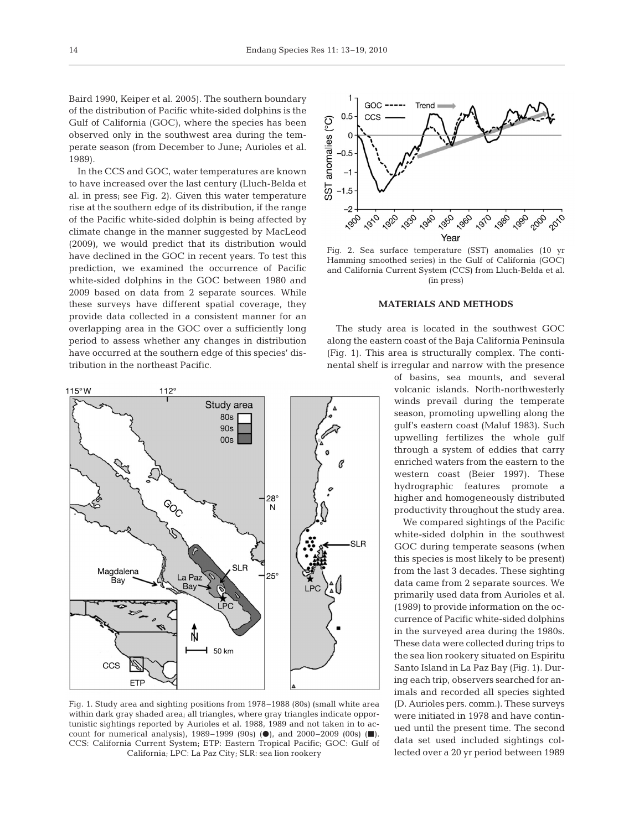Baird 1990, Keiper et al. 2005). The southern boundary of the distribution of Pacific white-sided dolphins is the Gulf of California (GOC), where the species has been observed only in the southwest area during the temperate season (from December to June; Aurioles et al. 1989).

In the CCS and GOC, water temperatures are known to have increased over the last century (Lluch-Belda et al. in press; see Fig. 2). Given this water temperature rise at the southern edge of its distribution, if the range of the Pacific white-sided dolphin is being affected by climate change in the manner suggested by MacLeod (2009), we would predict that its distribution would have declined in the GOC in recent years. To test this prediction, we examined the occurrence of Pacific white-sided dolphins in the GOC between 1980 and 2009 based on data from 2 separate sources. While these surveys have different spatial coverage, they provide data collected in a consistent manner for an overlapping area in the GOC over a sufficiently long period to assess whether any changes in distribution have occurred at the southern edge of this species' distribution in the northeast Pacific.



Fig. 1. Study area and sighting positions from 1978–1988 (80s) (small white area within dark gray shaded area; all triangles, where gray triangles indicate opportunistic sightings reported by Aurioles et al. 1988, 1989 and not taken in to account for numerical analysis),  $1989-1999$  (90s) ( $\bullet$ ), and  $2000-2009$  (00s) ( $\blacksquare$ ). CCS: California Current System; ETP: Eastern Tropical Pacific; GOC: Gulf of California; LPC: La Paz City; SLR: sea lion rookery



Fig. 2. Sea surface temperature (SST) anomalies (10 yr Hamming smoothed series) in the Gulf of California (GOC) and California Current System (CCS) from Lluch-Belda et al. (in press)

#### **MATERIALS AND METHODS**

The study area is located in the southwest GOC along the eastern coast of the Baja California Peninsula (Fig. 1). This area is structurally complex. The continental shelf is irregular and narrow with the presence

> of basins, sea mounts, and several volcanic islands. North-northwesterly winds prevail during the temperate season, promoting upwelling along the gulf's eastern coast (Maluf 1983). Such upwelling fertilizes the whole gulf through a system of eddies that carry enriched waters from the eastern to the western coast (Beier 1997). These hydrographic features promote a higher and homogeneously distributed productivity throughout the study area.

> We compared sightings of the Pacific white-sided dolphin in the southwest GOC during temperate seasons (when this species is most likely to be present) from the last 3 decades. These sighting data came from 2 separate sources. We primarily used data from Aurioles et al. (1989) to provide information on the occurrence of Pacific white-sided dolphins in the surveyed area during the 1980s. These data were collected during trips to the sea lion rookery situated on Espiritu Santo Island in La Paz Bay (Fig. 1). During each trip, observers searched for animals and recorded all species sighted (D. Aurioles pers. comm.). These surveys were initiated in 1978 and have continued until the present time. The second data set used included sightings collected over a 20 yr period between 1989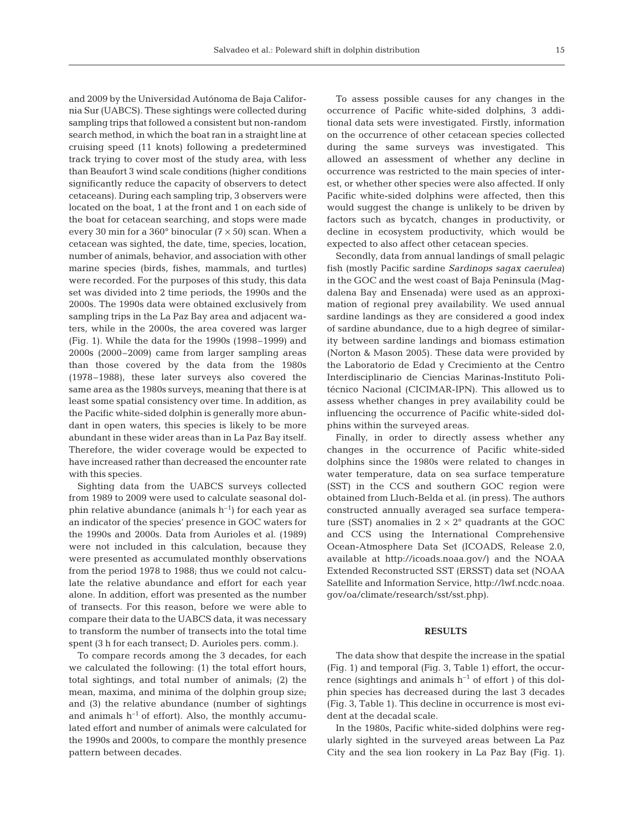and 2009 by the Universidad Autónoma de Baja California Sur (UABCS). These sightings were collected during sampling trips that followed a consistent but non-random search method, in which the boat ran in a straight line at cruising speed (11 knots) following a predetermined track trying to cover most of the study area, with less than Beaufort 3 wind scale conditions (higher conditions significantly reduce the capacity of observers to detect cetaceans). During each sampling trip, 3 observers were located on the boat, 1 at the front and 1 on each side of the boat for cetacean searching, and stops were made every 30 min for a 360 $^{\circ}$  binocular (7  $\times$  50) scan. When a cetacean was sighted, the date, time, species, location, number of animals, behavior, and association with other marine species (birds, fishes, mammals, and turtles) were recorded. For the purposes of this study, this data set was divided into 2 time periods, the 1990s and the 2000s. The 1990s data were obtained exclusively from sampling trips in the La Paz Bay area and adjacent waters, while in the 2000s, the area covered was larger (Fig. 1). While the data for the 1990s (1998–1999) and 2000s (2000–2009) came from larger sampling areas than those covered by the data from the 1980s (1978–1988), these later surveys also covered the same area as the 1980s surveys, meaning that there is at least some spatial consistency over time. In addition, as the Pacific white-sided dolphin is generally more abundant in open waters, this species is likely to be more abundant in these wider areas than in La Paz Bay itself. Therefore, the wider coverage would be expected to have increased rather than decreased the encounter rate with this species.

Sighting data from the UABCS surveys collected from 1989 to 2009 were used to calculate seasonal dolphin relative abundance (animals  $h^{-1}$ ) for each year as an indicator of the species' presence in GOC waters for the 1990s and 2000s. Data from Aurioles et al. (1989) were not included in this calculation, because they were presented as accumulated monthly observations from the period 1978 to 1988; thus we could not calculate the relative abundance and effort for each year alone. In addition, effort was presented as the number of transects. For this reason, before we were able to compare their data to the UABCS data, it was necessary to transform the number of transects into the total time spent (3 h for each transect; D. Aurioles pers. comm.).

To compare records among the 3 decades, for each we calculated the following: (1) the total effort hours, total sightings, and total number of animals; (2) the mean, maxima, and minima of the dolphin group size; and (3) the relative abundance (number of sightings and animals  $h^{-1}$  of effort). Also, the monthly accumulated effort and number of animals were calculated for the 1990s and 2000s, to compare the monthly presence pattern between decades.

To assess possible causes for any changes in the occurrence of Pacific white-sided dolphins, 3 additional data sets were investigated. Firstly, information on the occurrence of other cetacean species collected during the same surveys was investigated. This allowed an assessment of whether any decline in occurrence was restricted to the main species of interest, or whether other species were also affected. If only Pacific white-sided dolphins were affected, then this would suggest the change is unlikely to be driven by factors such as bycatch, changes in productivity, or decline in ecosystem productivity, which would be expected to also affect other cetacean species.

Secondly, data from annual landings of small pelagic fish (mostly Pacific sardine *Sardinops sagax caerulea*) in the GOC and the west coast of Baja Peninsula (Magdalena Bay and Ensenada) were used as an approximation of regional prey availability. We used annual sardine landings as they are considered a good index of sardine abundance, due to a high degree of similarity between sardine landings and biomass estimation (Norton & Mason 2005). These data were provided by the Laboratorio de Edad y Crecimiento at the Centro Interdisciplinario de Ciencias Marinas-Instituto Politécnico Nacional (CICIMAR-IPN). This allowed us to assess whether changes in prey availability could be influencing the occurrence of Pacific white-sided dolphins within the surveyed areas.

Finally, in order to directly assess whether any changes in the occurrence of Pacific white-sided dolphins since the 1980s were related to changes in water temperature, data on sea surface temperature (SST) in the CCS and southern GOC region were obtained from Lluch-Belda et al. (in press). The authors constructed annually averaged sea surface temperature (SST) anomalies in  $2 \times 2^{\circ}$  quadrants at the GOC and CCS using the International Comprehensive Ocean-Atmosphere Data Set (ICOADS, Release 2.0, available at http://icoads.noaa.gov/) and the NOAA Extended Reconstructed SST (ERSST) data set (NOAA Satellite and Information Service, http://lwf.ncdc.noaa. gov/oa/climate/research/sst/sst.php).

#### **RESULTS**

The data show that despite the increase in the spatial (Fig. 1) and temporal (Fig. 3, Table 1) effort, the occurrence (sightings and animals  $h^{-1}$  of effort) of this dolphin species has decreased during the last 3 decades (Fig. 3, Table 1). This decline in occurrence is most evident at the decadal scale.

In the 1980s, Pacific white-sided dolphins were regularly sighted in the surveyed areas between La Paz City and the sea lion rookery in La Paz Bay (Fig. 1).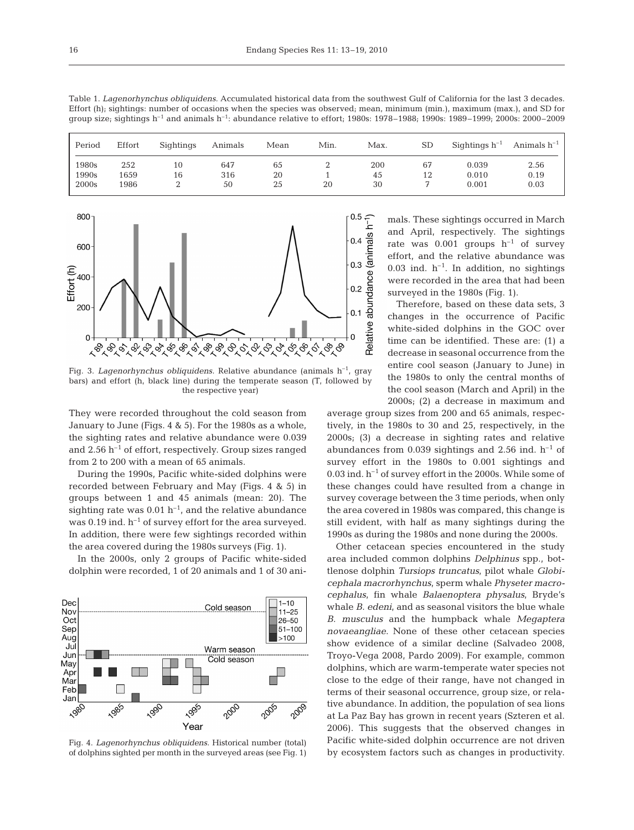| group size; sightings h <sup>-1</sup> and animals h <sup>-1</sup> ; abundance relative to effort; 1980s: 1978–1988; 1990s: 1989–1999; 2000s: 2000–2009 |        |           |         |      |      |      |    |                    |                  |
|--------------------------------------------------------------------------------------------------------------------------------------------------------|--------|-----------|---------|------|------|------|----|--------------------|------------------|
| Period                                                                                                                                                 | Effort | Sightings | Animals | Mean | Min. | Max. | SD | Sightings $h^{-1}$ | Animals $h^{-1}$ |
| 1980s                                                                                                                                                  | 252    | 10        | 647     | 65   |      | 200  | 67 | 0.039              | 2.56             |
| 1990s                                                                                                                                                  | 1659   | 16        | 316     | 20   |      | 45   | 12 | 0.010              | 0.19             |
| 2000s                                                                                                                                                  | 1986   |           | 50      | 25   | 20   | 30   |    | 0.001              | 0.03             |

Table 1. *Lagenorhynchus obliquidens.* Accumulated historical data from the southwest Gulf of California for the last 3 decades. Effort (h); sightings: number of occasions when the species was observed; mean, minimum (min.), maximum (max.), and SD for group size; sightings h $^{-1}$  and animals h $^{-1}$ : abundance relative to effort; 1980s: 1978–1988; 1990s: 1989–1999; 2000s: 2000–2009



Fig. 3. *Lagenorhynchus obliquidens*. Relative abundance (animals h<sup>-1</sup>, gray bars) and effort (h, black line) during the temperate season (T, followed by the respective year)

They were recorded throughout the cold season from January to June (Figs. 4 & 5). For the 1980s as a whole, the sighting rates and relative abundance were 0.039 and  $2.56$  h<sup>-1</sup> of effort, respectively. Group sizes ranged from 2 to 200 with a mean of 65 animals.

During the 1990s, Pacific white-sided dolphins were recorded between February and May (Figs. 4 & 5) in groups between 1 and 45 animals (mean: 20). The sighting rate was  $0.01 h^{-1}$ , and the relative abundance was 0.19 ind.  $h^{-1}$  of survey effort for the area surveyed. In addition, there were few sightings recorded within the area covered during the 1980s surveys (Fig. 1).

In the 2000s, only 2 groups of Pacific white-sided dolphin were recorded, 1 of 20 animals and 1 of 30 ani-



Fig. 4. *Lagenorhynchus obliquidens.* Historical number (total) of dolphins sighted per month in the surveyed areas (see Fig. 1)

mals. These sightings occurred in March and April, respectively. The sightings rate was  $0.001$  groups  $h^{-1}$  of survey effort, and the relative abundance was 0.03 ind.  $h^{-1}$ . In addition, no sightings were recorded in the area that had been surveyed in the 1980s (Fig. 1).

Therefore, based on these data sets, 3 changes in the occurrence of Pacific white-sided dolphins in the GOC over time can be identified. These are: (1) a decrease in seasonal occurrence from the entire cool season (January to June) in the 1980s to only the central months of the cool season (March and April) in the 2000s; (2) a decrease in maximum and

average group sizes from 200 and 65 animals, respectively, in the 1980s to 30 and 25, respectively, in the 2000s; (3) a decrease in sighting rates and relative abundances from 0.039 sightings and 2.56 ind.  $h^{-1}$  of survey effort in the 1980s to 0.001 sightings and  $0.03$  ind.  $h^{-1}$  of survey effort in the 2000s. While some of these changes could have resulted from a change in survey coverage between the 3 time periods, when only the area covered in 1980s was compared, this change is still evident, with half as many sightings during the 1990s as during the 1980s and none during the 2000s.

Other cetacean species encountered in the study area included common dolphins *Delphinus* spp., bottlenose dolphin *Tursiops truncatus*, pilot whale *Globicephala macrorhynchus*, sperm whale *Physeter macrocephalus*, fin whale *Balaenoptera physalus*, Bryde's whale *B. edeni*, and as seasonal visitors the blue whale *B. musculus* and the humpback whale *Megaptera novaeangliae*. None of these other cetacean species show evidence of a similar decline (Salvadeo 2008, Troyo-Vega 2008, Pardo 2009). For example, common dolphins, which are warm-temperate water species not close to the edge of their range, have not changed in terms of their seasonal occurrence, group size, or relative abundance. In addition, the population of sea lions at La Paz Bay has grown in recent years (Szteren et al. 2006). This suggests that the observed changes in Pacific white-sided dolphin occurrence are not driven by ecosystem factors such as changes in productivity.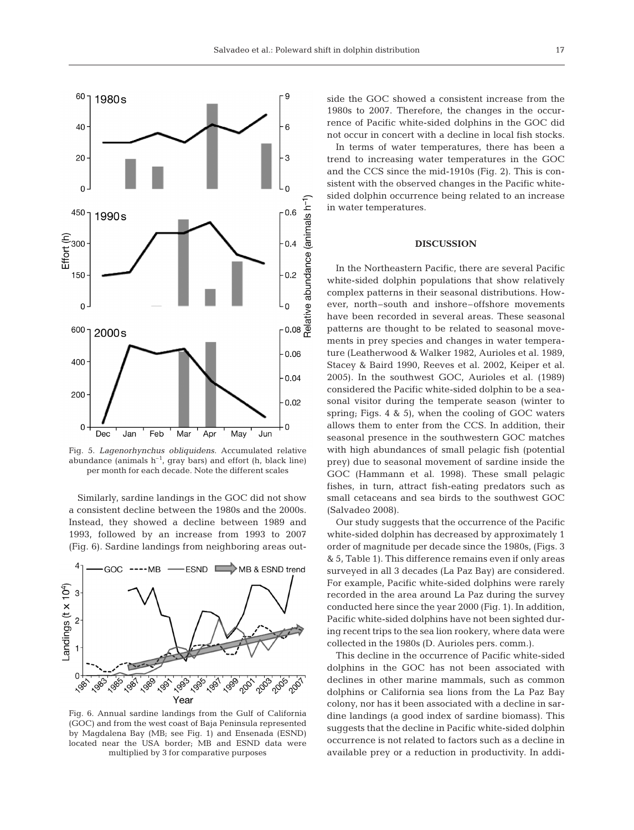

Fig. 5. *Lagenorhynchus obliquidens.* Accumulated relative abundance (animals  $h^{-1}$ , gray bars) and effort (h, black line) per month for each decade. Note the different scales

Similarly, sardine landings in the GOC did not show a consistent decline between the 1980s and the 2000s. Instead, they showed a decline between 1989 and 1993, followed by an increase from 1993 to 2007 (Fig. 6). Sardine landings from neighboring areas out-



Fig. 6. Annual sardine landings from the Gulf of California (GOC) and from the west coast of Baja Peninsula represented by Magdalena Bay (MB; see Fig. 1) and Ensenada (ESND) located near the USA border; MB and ESND data were multiplied by 3 for comparative purposes

side the GOC showed a consistent increase from the 1980s to 2007. Therefore, the changes in the occurrence of Pacific white-sided dolphins in the GOC did not occur in concert with a decline in local fish stocks.

In terms of water temperatures, there has been a trend to increasing water temperatures in the GOC and the CCS since the mid-1910s (Fig. 2). This is consistent with the observed changes in the Pacific whitesided dolphin occurrence being related to an increase in water temperatures.

#### **DISCUSSION**

In the Northeastern Pacific, there are several Pacific white-sided dolphin populations that show relatively complex patterns in their seasonal distributions. However, north–south and inshore–offshore movements have been recorded in several areas. These seasonal patterns are thought to be related to seasonal movements in prey species and changes in water temperature (Leatherwood & Walker 1982, Aurioles et al. 1989, Stacey & Baird 1990, Reeves et al. 2002, Keiper et al. 2005). In the southwest GOC, Aurioles et al. (1989) considered the Pacific white-sided dolphin to be a seasonal visitor during the temperate season (winter to spring; Figs. 4 & 5), when the cooling of GOC waters allows them to enter from the CCS. In addition, their seasonal presence in the southwestern GOC matches with high abundances of small pelagic fish (potential prey) due to seasonal movement of sardine inside the GOC (Hammann et al. 1998). These small pelagic fishes, in turn, attract fish-eating predators such as small cetaceans and sea birds to the southwest GOC (Salvadeo 2008).

Our study suggests that the occurrence of the Pacific white-sided dolphin has decreased by approximately 1 order of magnitude per decade since the 1980s, (Figs. 3 & 5, Table 1). This difference remains even if only areas surveyed in all 3 decades (La Paz Bay) are considered. For example, Pacific white-sided dolphins were rarely recorded in the area around La Paz during the survey conducted here since the year 2000 (Fig. 1). In addition, Pacific white-sided dolphins have not been sighted during recent trips to the sea lion rookery, where data were collected in the 1980s (D. Aurioles pers. comm.).

This decline in the occurrence of Pacific white-sided dolphins in the GOC has not been associated with declines in other marine mammals, such as common dolphins or California sea lions from the La Paz Bay colony, nor has it been associated with a decline in sardine landings (a good index of sardine biomass). This suggests that the decline in Pacific white-sided dolphin occurrence is not related to factors such as a decline in available prey or a reduction in productivity. In addi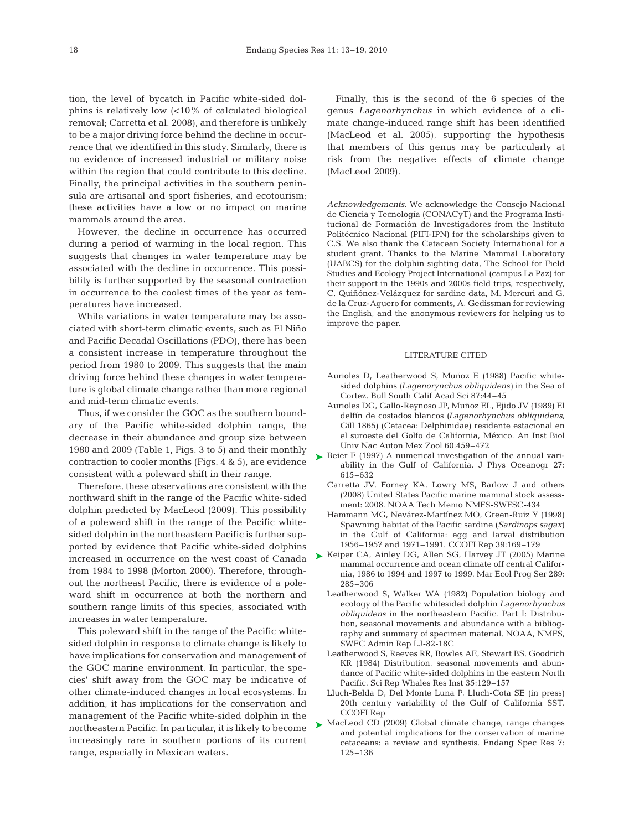tion, the level of bycatch in Pacific white-sided dolphins is relatively low (<10% of calculated biological removal; Carretta et al. 2008), and therefore is unlikely to be a major driving force behind the decline in occurrence that we identified in this study. Similarly, there is no evidence of increased industrial or military noise within the region that could contribute to this decline. Finally, the principal activities in the southern peninsula are artisanal and sport fisheries, and ecotourism; these activities have a low or no impact on marine mammals around the area.

However, the decline in occurrence has occurred during a period of warming in the local region. This suggests that changes in water temperature may be associated with the decline in occurrence. This possibility is further supported by the seasonal contraction in occurrence to the coolest times of the year as temperatures have increased.

While variations in water temperature may be associated with short-term climatic events, such as El Niño and Pacific Decadal Oscillations (PDO), there has been a consistent increase in temperature throughout the period from 1980 to 2009. This suggests that the main driving force behind these changes in water temperature is global climate change rather than more regional and mid-term climatic events.

Thus, if we consider the GOC as the southern boundary of the Pacific white-sided dolphin range, the decrease in their abundance and group size between 1980 and 2009 (Table 1, Figs. 3 to 5) and their monthly contraction to cooler months (Figs. 4 & 5), are evidence consistent with a poleward shift in their range.

Therefore, these observations are consistent with the northward shift in the range of the Pacific white-sided dolphin predicted by MacLeod (2009). This possibility of a poleward shift in the range of the Pacific whitesided dolphin in the northeastern Pacific is further supported by evidence that Pacific white-sided dolphins increased in occurrence on the west coast of Canada from 1984 to 1998 (Morton 2000). Therefore, throughout the northeast Pacific, there is evidence of a poleward shift in occurrence at both the northern and southern range limits of this species, associated with increases in water temperature.

This poleward shift in the range of the Pacific whitesided dolphin in response to climate change is likely to have implications for conservation and management of the GOC marine environment. In particular, the species' shift away from the GOC may be indicative of other climate-induced changes in local ecosystems. In addition, it has implications for the conservation and management of the Pacific white-sided dolphin in the northeastern Pacific. In particular, it is likely to become increasingly rare in southern portions of its current range, especially in Mexican waters.

Finally, this is the second of the 6 species of the genus *Lagenorhynchus* in which evidence of a climate change-induced range shift has been identified (MacLeod et al. 2005), supporting the hypothesis that members of this genus may be particularly at risk from the negative effects of climate change (MacLeod 2009).

*Acknowledgements.* We acknowledge the Consejo Nacional de Ciencia y Tecnología (CONACyT) and the Programa Institucional de Formación de Investigadores from the Instituto Politécnico Nacional (PIFI-IPN) for the scholarships given to C.S. We also thank the Cetacean Society International for a student grant. Thanks to the Marine Mammal Laboratory (UABCS) for the dolphin sighting data, The School for Field Studies and Ecology Project International (campus La Paz) for their support in the 1990s and 2000s field trips, respectively, C. Quiñónez-Velázquez for sardine data, M. Mercuri and G. de la Cruz-Aguero for comments, A. Gedissman for reviewing the English, and the anonymous reviewers for helping us to improve the paper.

#### LITERATURE CITED

- Aurioles D, Leatherwood S, Muñoz E (1988) Pacific whitesided dolphins *(Lagenorynchus obliquidens)* in the Sea of Cortez. Bull South Calif Acad Sci 87:44–45
- Aurioles DG, Gallo-Reynoso JP, Muñoz EL, Ejido JV (1989) El delfín de costados blancos *(Lagenorhynchus obliquidens,* Gill 1865) (Cetacea: Delphinidae) residente estacional en el suroeste del Golfo de California, México. An Inst Biol Univ Nac Auton Mex Zool 60:459–472
- ► Beier E (1997) A numerical investigation of the annual variability in the Gulf of California. J Phys Oceanogr 27: 615–632
	- Carretta JV, Forney KA, Lowry MS, Barlow J and others (2008) United States Pacific marine mammal stock assessment: 2008. NOAA Tech Memo NMFS-SWFSC-434
	- Hammann MG, Nevárez-Martínez MO, Green-Ruíz Y (1998) Spawning habitat of the Pacific sardine (*Sardinops sagax*) in the Gulf of California: egg and larval distribution 1956–1957 and 1971–1991. CCOFI Rep 39:169–179
- ► Keiper CA, Ainley DG, Allen SG, Harvey JT (2005) Marine mammal occurrence and ocean climate off central California, 1986 to 1994 and 1997 to 1999. Mar Ecol Prog Ser 289: 285–306
	- Leatherwood S, Walker WA (1982) Population biology and ecology of the Pacific whitesided dolphin *Lagenorhynchus obliquidens* in the northeastern Pacific. Part I: Distribution, seasonal movements and abundance with a bibliography and summary of specimen material. NOAA, NMFS, SWFC Admin Rep LJ-82-18C
	- Leatherwood S, Reeves RR, Bowles AE, Stewart BS, Goodrich KR (1984) Distribution, seasonal movements and abundance of Pacific white-sided dolphins in the eastern North Pacific. Sci Rep Whales Res Inst 35:129–157
	- Lluch-Belda D, Del Monte Luna P, Lluch-Cota SE (in press) 20th century variability of the Gulf of California SST. CCOFI Rep
- ▶ MacLeod CD (2009) Global climate change, range changes and potential implications for the conservation of marine cetaceans: a review and synthesis. Endang Spec Res 7: 125–136